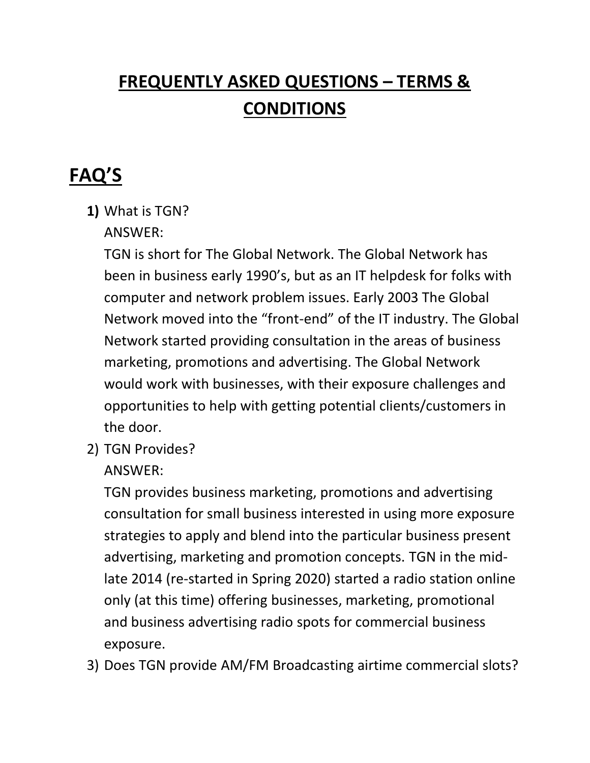# **FREQUENTLY ASKED QUESTIONS – TERMS & CONDITIONS**

# **FAQ'S**

- **1)** What is TGN?
	- ANSWER:

TGN is short for The Global Network. The Global Network has been in business early 1990's, but as an IT helpdesk for folks with computer and network problem issues. Early 2003 The Global Network moved into the "front-end" of the IT industry. The Global Network started providing consultation in the areas of business marketing, promotions and advertising. The Global Network would work with businesses, with their exposure challenges and opportunities to help with getting potential clients/customers in the door.

2) TGN Provides?

#### ANSWER:

TGN provides business marketing, promotions and advertising consultation for small business interested in using more exposure strategies to apply and blend into the particular business present advertising, marketing and promotion concepts. TGN in the midlate 2014 (re-started in Spring 2020) started a radio station online only (at this time) offering businesses, marketing, promotional and business advertising radio spots for commercial business exposure.

3) Does TGN provide AM/FM Broadcasting airtime commercial slots?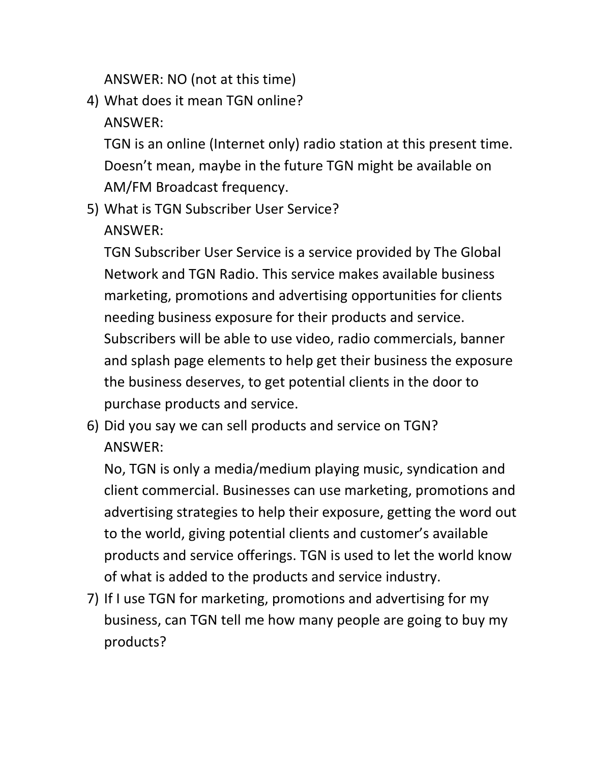ANSWER: NO (not at this time)

4) What does it mean TGN online? ANSWER:

TGN is an online (Internet only) radio station at this present time. Doesn't mean, maybe in the future TGN might be available on AM/FM Broadcast frequency.

5) What is TGN Subscriber User Service? ANSWER:

TGN Subscriber User Service is a service provided by The Global Network and TGN Radio. This service makes available business marketing, promotions and advertising opportunities for clients needing business exposure for their products and service. Subscribers will be able to use video, radio commercials, banner and splash page elements to help get their business the exposure the business deserves, to get potential clients in the door to purchase products and service.

6) Did you say we can sell products and service on TGN? ANSWER:

No, TGN is only a media/medium playing music, syndication and client commercial. Businesses can use marketing, promotions and advertising strategies to help their exposure, getting the word out to the world, giving potential clients and customer's available products and service offerings. TGN is used to let the world know of what is added to the products and service industry.

7) If I use TGN for marketing, promotions and advertising for my business, can TGN tell me how many people are going to buy my products?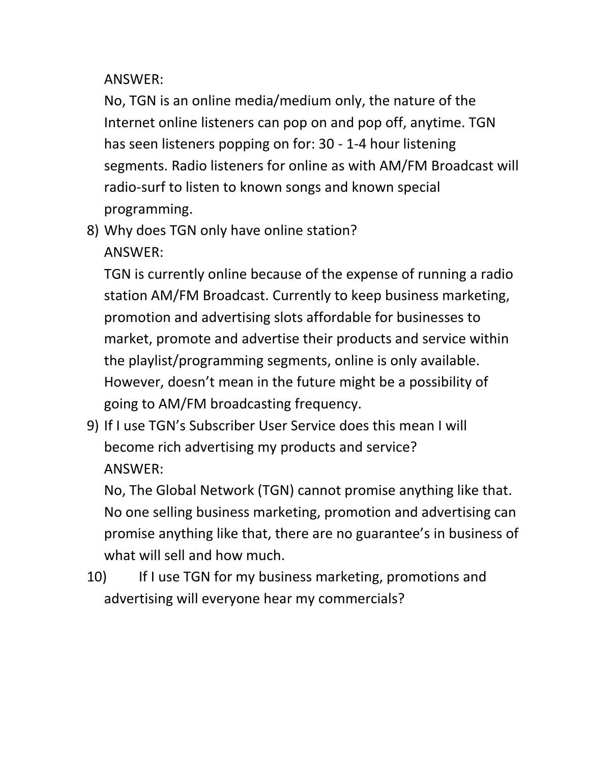ANSWER:

No, TGN is an online media/medium only, the nature of the Internet online listeners can pop on and pop off, anytime. TGN has seen listeners popping on for: 30 - 1-4 hour listening segments. Radio listeners for online as with AM/FM Broadcast will radio-surf to listen to known songs and known special programming.

8) Why does TGN only have online station? ANSWER:

TGN is currently online because of the expense of running a radio station AM/FM Broadcast. Currently to keep business marketing, promotion and advertising slots affordable for businesses to market, promote and advertise their products and service within the playlist/programming segments, online is only available. However, doesn't mean in the future might be a possibility of going to AM/FM broadcasting frequency.

9) If I use TGN's Subscriber User Service does this mean I will become rich advertising my products and service? ANSWER:

No, The Global Network (TGN) cannot promise anything like that. No one selling business marketing, promotion and advertising can promise anything like that, there are no guarantee's in business of what will sell and how much.

10) If I use TGN for my business marketing, promotions and advertising will everyone hear my commercials?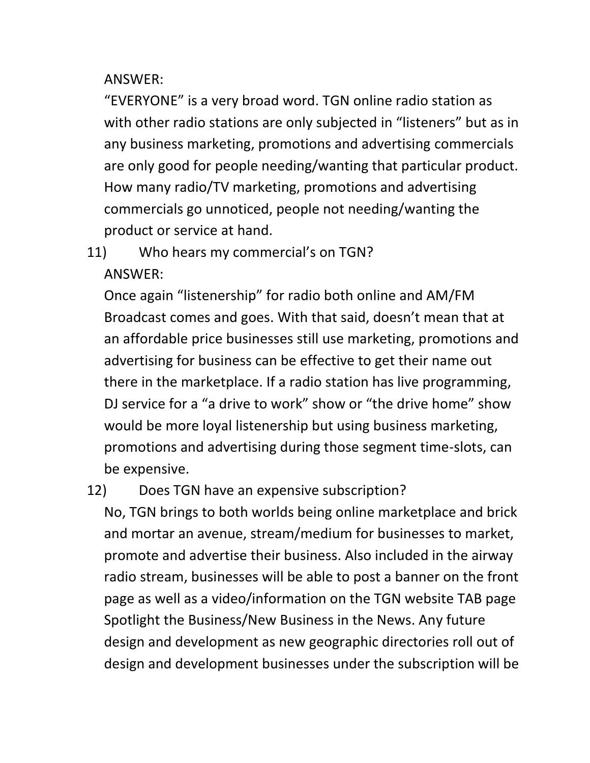ANSWER:

"EVERYONE" is a very broad word. TGN online radio station as with other radio stations are only subjected in "listeners" but as in any business marketing, promotions and advertising commercials are only good for people needing/wanting that particular product. How many radio/TV marketing, promotions and advertising commercials go unnoticed, people not needing/wanting the product or service at hand.

11) Who hears my commercial's on TGN? ANSWER:

Once again "listenership" for radio both online and AM/FM Broadcast comes and goes. With that said, doesn't mean that at an affordable price businesses still use marketing, promotions and advertising for business can be effective to get their name out there in the marketplace. If a radio station has live programming, DJ service for a "a drive to work" show or "the drive home" show would be more loyal listenership but using business marketing, promotions and advertising during those segment time-slots, can be expensive.

#### 12) Does TGN have an expensive subscription?

No, TGN brings to both worlds being online marketplace and brick and mortar an avenue, stream/medium for businesses to market, promote and advertise their business. Also included in the airway radio stream, businesses will be able to post a banner on the front page as well as a video/information on the TGN website TAB page Spotlight the Business/New Business in the News. Any future design and development as new geographic directories roll out of design and development businesses under the subscription will be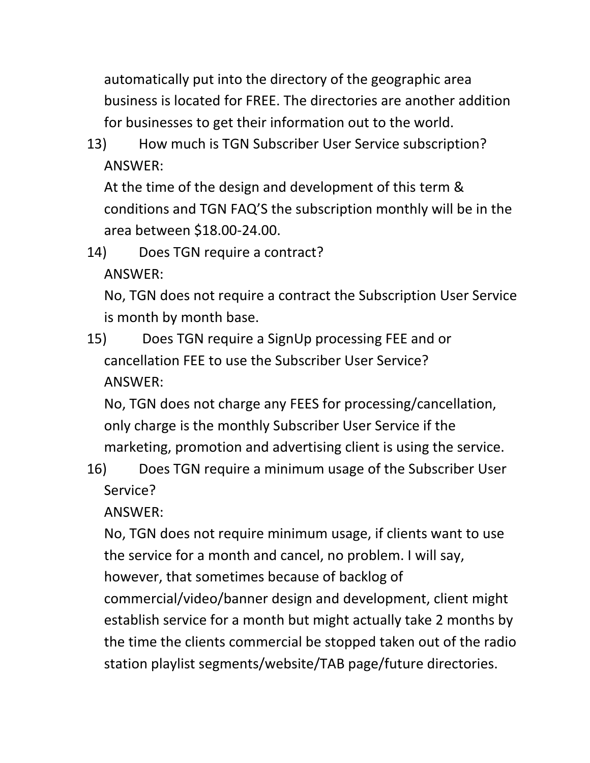automatically put into the directory of the geographic area business is located for FREE. The directories are another addition for businesses to get their information out to the world.

13) How much is TGN Subscriber User Service subscription? ANSWER:

At the time of the design and development of this term & conditions and TGN FAQ'S the subscription monthly will be in the area between \$18.00-24.00.

14) Does TGN require a contract? ANSWER:

No, TGN does not require a contract the Subscription User Service is month by month base.

15) Does TGN require a SignUp processing FEE and or cancellation FEE to use the Subscriber User Service? ANSWER:

No, TGN does not charge any FEES for processing/cancellation, only charge is the monthly Subscriber User Service if the marketing, promotion and advertising client is using the service.

16) Does TGN require a minimum usage of the Subscriber User Service?

ANSWER:

No, TGN does not require minimum usage, if clients want to use the service for a month and cancel, no problem. I will say, however, that sometimes because of backlog of commercial/video/banner design and development, client might establish service for a month but might actually take 2 months by the time the clients commercial be stopped taken out of the radio station playlist segments/website/TAB page/future directories.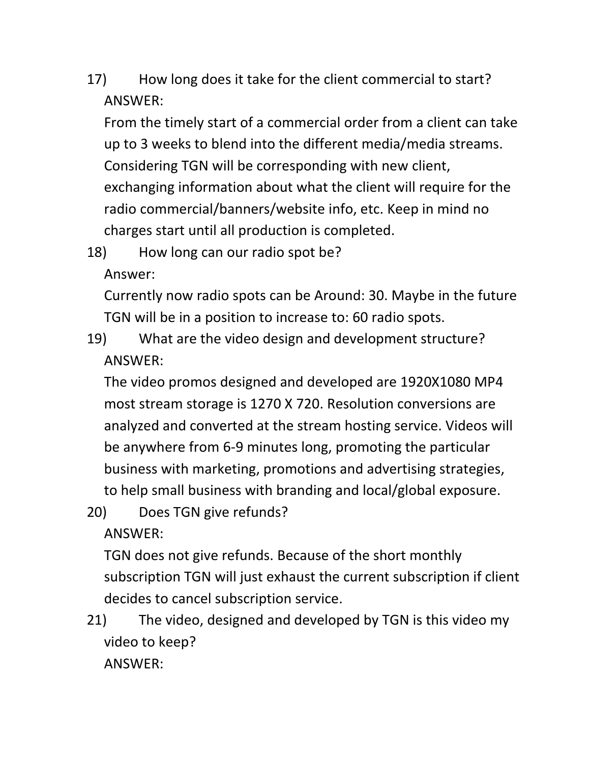17) How long does it take for the client commercial to start? ANSWER:

From the timely start of a commercial order from a client can take up to 3 weeks to blend into the different media/media streams. Considering TGN will be corresponding with new client, exchanging information about what the client will require for the radio commercial/banners/website info, etc. Keep in mind no charges start until all production is completed.

18) How long can our radio spot be?

Answer:

Currently now radio spots can be Around: 30. Maybe in the future TGN will be in a position to increase to: 60 radio spots.

19) What are the video design and development structure? ANSWER:

The video promos designed and developed are 1920X1080 MP4 most stream storage is 1270 X 720. Resolution conversions are analyzed and converted at the stream hosting service. Videos will be anywhere from 6-9 minutes long, promoting the particular business with marketing, promotions and advertising strategies, to help small business with branding and local/global exposure.

20) Does TGN give refunds?

ANSWER:

TGN does not give refunds. Because of the short monthly subscription TGN will just exhaust the current subscription if client decides to cancel subscription service.

21) The video, designed and developed by TGN is this video my video to keep? ANSWER: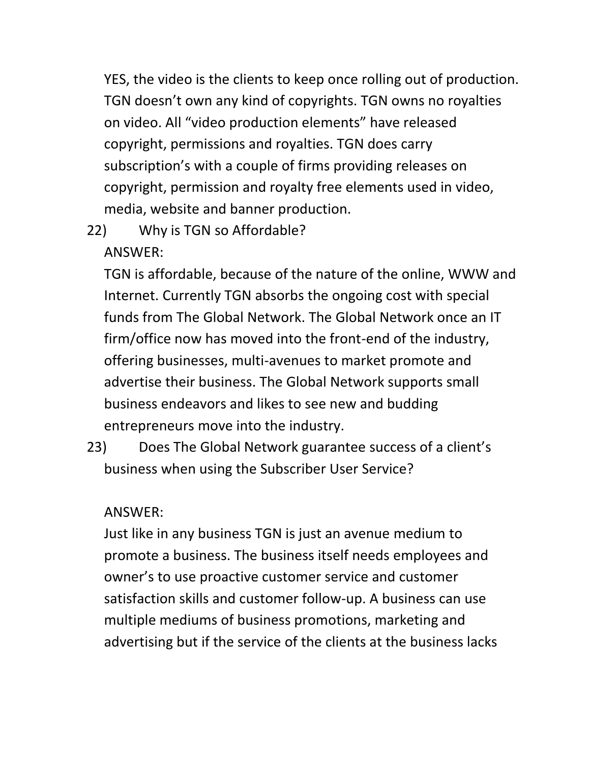YES, the video is the clients to keep once rolling out of production. TGN doesn't own any kind of copyrights. TGN owns no royalties on video. All "video production elements" have released copyright, permissions and royalties. TGN does carry subscription's with a couple of firms providing releases on copyright, permission and royalty free elements used in video, media, website and banner production.

22) Why is TGN so Affordable?

#### ANSWER:

TGN is affordable, because of the nature of the online, WWW and Internet. Currently TGN absorbs the ongoing cost with special funds from The Global Network. The Global Network once an IT firm/office now has moved into the front-end of the industry, offering businesses, multi-avenues to market promote and advertise their business. The Global Network supports small business endeavors and likes to see new and budding entrepreneurs move into the industry.

23) Does The Global Network guarantee success of a client's business when using the Subscriber User Service?

#### ANSWER:

Just like in any business TGN is just an avenue medium to promote a business. The business itself needs employees and owner's to use proactive customer service and customer satisfaction skills and customer follow-up. A business can use multiple mediums of business promotions, marketing and advertising but if the service of the clients at the business lacks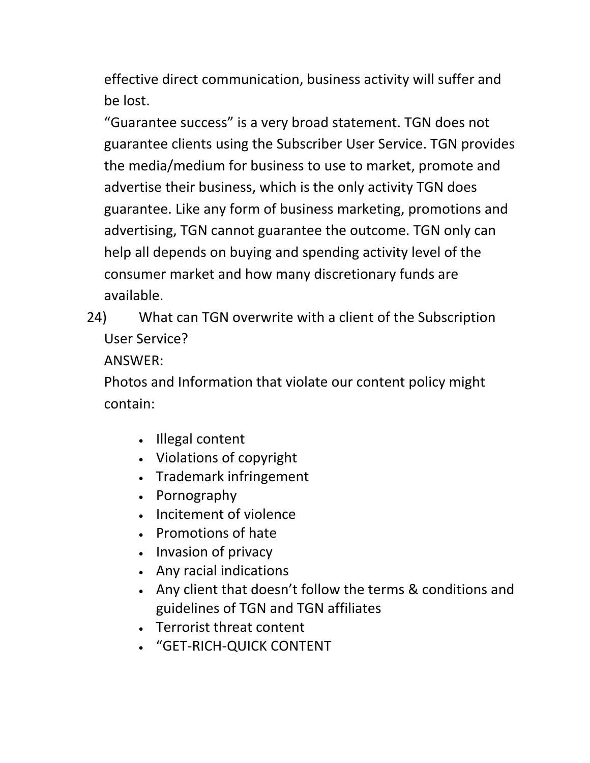effective direct communication, business activity will suffer and be lost.

"Guarantee success" is a very broad statement. TGN does not guarantee clients using the Subscriber User Service. TGN provides the media/medium for business to use to market, promote and advertise their business, which is the only activity TGN does guarantee. Like any form of business marketing, promotions and advertising, TGN cannot guarantee the outcome. TGN only can help all depends on buying and spending activity level of the consumer market and how many discretionary funds are available.

24) What can TGN overwrite with a client of the Subscription User Service?

ANSWER:

Photos and Information that violate our content policy might contain:

- Illegal content
- Violations of copyright
- Trademark infringement
- Pornography
- Incitement of violence
- Promotions of hate
- Invasion of privacy
- Any racial indications
- Any client that doesn't follow the terms & conditions and guidelines of TGN and TGN affiliates
- Terrorist threat content
- "GET-RICH-QUICK CONTENT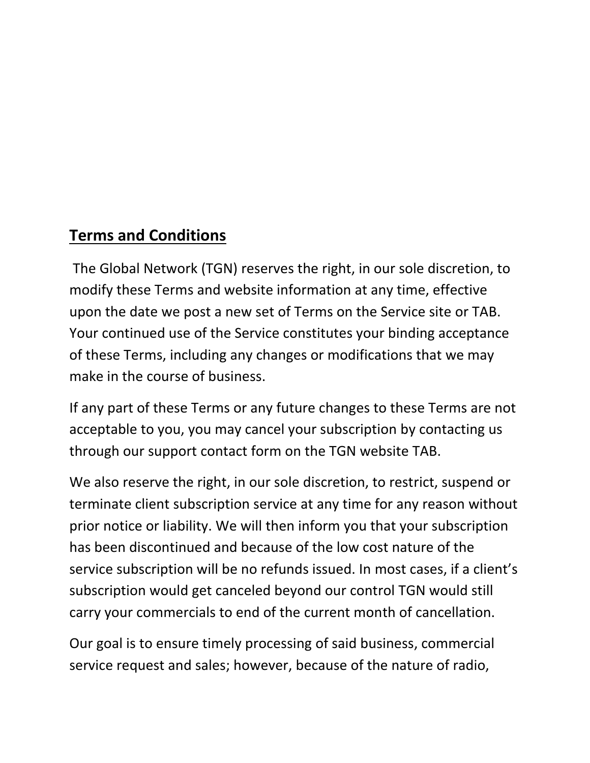### **Terms and Conditions**

The Global Network (TGN) reserves the right, in our sole discretion, to modify these Terms and website information at any time, effective upon the date we post a new set of Terms on the Service site or TAB. Your continued use of the Service constitutes your binding acceptance of these Terms, including any changes or modifications that we may make in the course of business.

If any part of these Terms or any future changes to these Terms are not acceptable to you, you may cancel your subscription by contacting us through our support contact form on the TGN website TAB.

We also reserve the right, in our sole discretion, to restrict, suspend or terminate client subscription service at any time for any reason without prior notice or liability. We will then inform you that your subscription has been discontinued and because of the low cost nature of the service subscription will be no refunds issued. In most cases, if a client's subscription would get canceled beyond our control TGN would still carry your commercials to end of the current month of cancellation.

Our goal is to ensure timely processing of said business, commercial service request and sales; however, because of the nature of radio,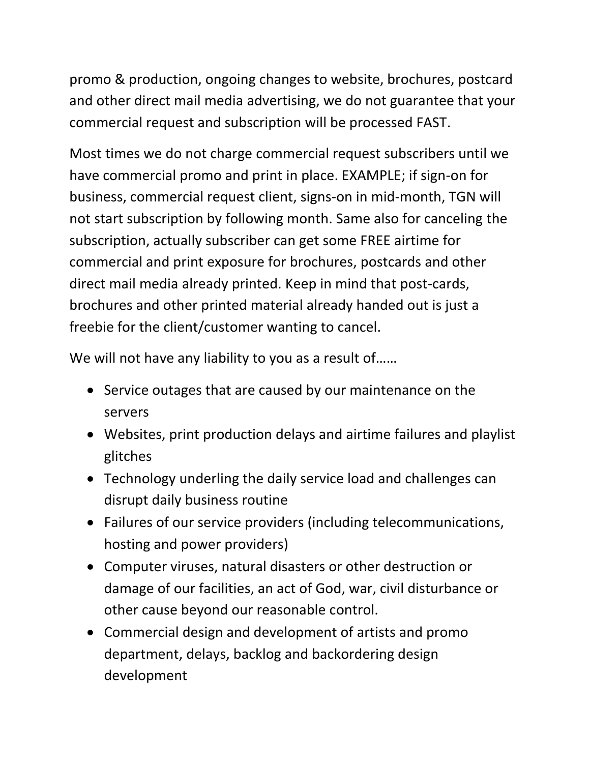promo & production, ongoing changes to website, brochures, postcard and other direct mail media advertising, we do not guarantee that your commercial request and subscription will be processed FAST.

Most times we do not charge commercial request subscribers until we have commercial promo and print in place. EXAMPLE; if sign-on for business, commercial request client, signs-on in mid-month, TGN will not start subscription by following month. Same also for canceling the subscription, actually subscriber can get some FREE airtime for commercial and print exposure for brochures, postcards and other direct mail media already printed. Keep in mind that post-cards, brochures and other printed material already handed out is just a freebie for the client/customer wanting to cancel.

We will not have any liability to you as a result of......

- Service outages that are caused by our maintenance on the servers
- Websites, print production delays and airtime failures and playlist glitches
- Technology underling the daily service load and challenges can disrupt daily business routine
- Failures of our service providers (including telecommunications, hosting and power providers)
- Computer viruses, natural disasters or other destruction or damage of our facilities, an act of God, war, civil disturbance or other cause beyond our reasonable control.
- Commercial design and development of artists and promo department, delays, backlog and backordering design development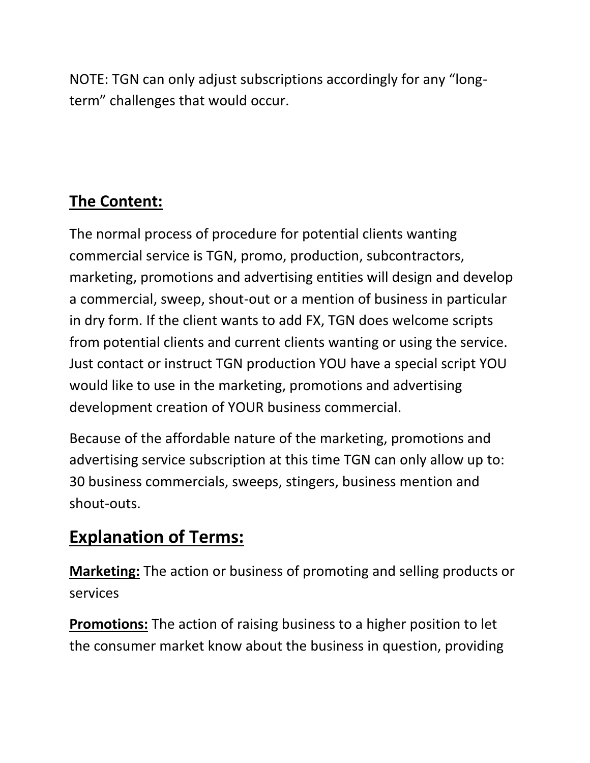NOTE: TGN can only adjust subscriptions accordingly for any "longterm" challenges that would occur.

# **The Content:**

The normal process of procedure for potential clients wanting commercial service is TGN, promo, production, subcontractors, marketing, promotions and advertising entities will design and develop a commercial, sweep, shout-out or a mention of business in particular in dry form. If the client wants to add FX, TGN does welcome scripts from potential clients and current clients wanting or using the service. Just contact or instruct TGN production YOU have a special script YOU would like to use in the marketing, promotions and advertising development creation of YOUR business commercial.

Because of the affordable nature of the marketing, promotions and advertising service subscription at this time TGN can only allow up to: 30 business commercials, sweeps, stingers, business mention and shout-outs.

# **Explanation of Terms:**

**Marketing:** The action or business of promoting and selling products or services

**Promotions:** The action of raising business to a higher position to let the consumer market know about the business in question, providing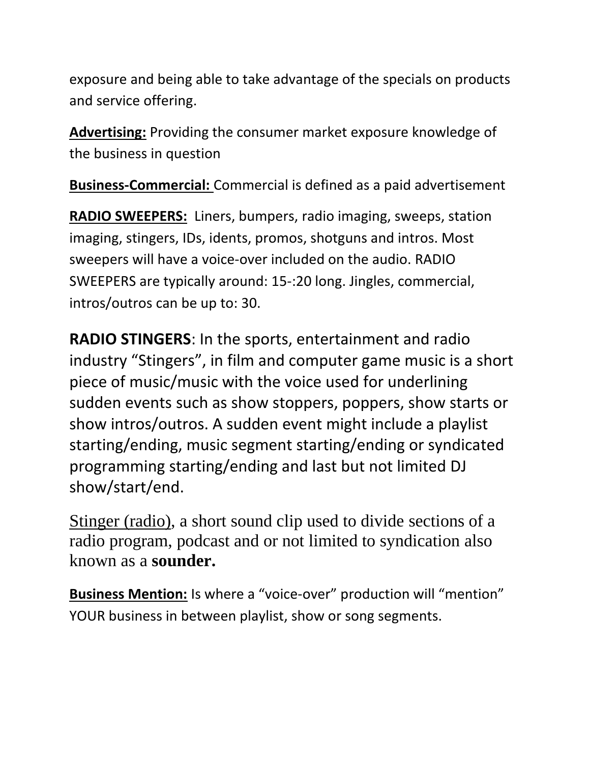exposure and being able to take advantage of the specials on products and service offering.

**Advertising:** Providing the consumer market exposure knowledge of the business in question

**Business-Commercial:** Commercial is defined as a paid advertisement

**RADIO SWEEPERS:** Liners, bumpers, radio imaging, sweeps, station imaging, stingers, IDs, idents, promos, shotguns and intros. Most sweepers will have a voice-over included on the audio. RADIO SWEEPERS are typically around: 15-:20 long. Jingles, commercial, intros/outros can be up to: 30.

**RADIO STINGERS**: In the sports, entertainment and radio industry "Stingers", in film and computer game music is a short piece of music/music with the voice used for underlining sudden events such as show stoppers, poppers, show starts or show intros/outros. A sudden event might include a playlist starting/ending, music segment starting/ending or syndicated programming starting/ending and last but not limited DJ show/start/end.

[Stinger \(radio\),](http://en.wikipedia.org/wiki/Stinger_%28radio%29) a short sound clip used to divide sections of a radio program, podcast and or not limited to syndication also known as a **sounder.**

**Business Mention:** Is where a "voice-over" production will "mention" YOUR business in between playlist, show or song segments.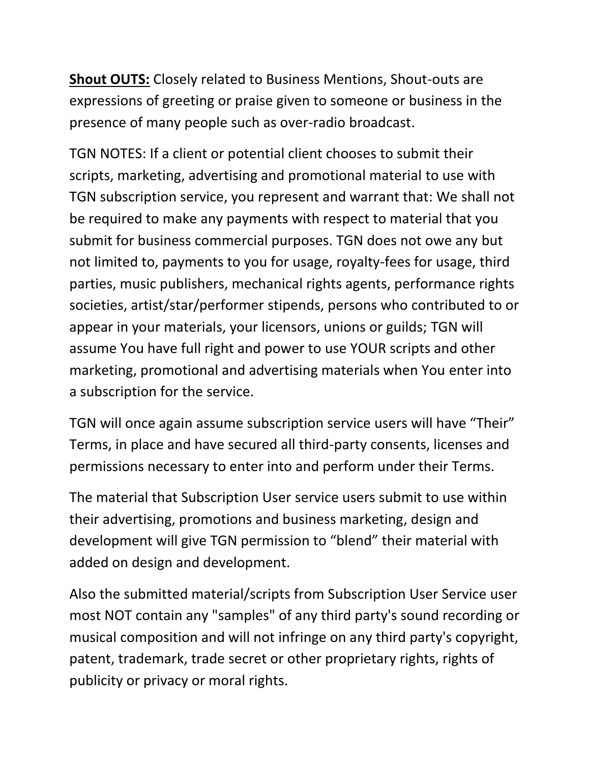**Shout OUTS:** Closely related to Business Mentions, Shout-outs are expressions of greeting or praise given to someone or business in the presence of many people such as over-radio broadcast.

TGN NOTES: If a client or potential client chooses to submit their scripts, marketing, advertising and promotional material to use with TGN subscription service, you represent and warrant that: We shall not be required to make any payments with respect to material that you submit for business commercial purposes. TGN does not owe any but not limited to, payments to you for usage, royalty-fees for usage, third parties, music publishers, mechanical rights agents, performance rights societies, artist/star/performer stipends, persons who contributed to or appear in your materials, your licensors, unions or guilds; TGN will assume You have full right and power to use YOUR scripts and other marketing, promotional and advertising materials when You enter into a subscription for the service.

TGN will once again assume subscription service users will have "Their" Terms, in place and have secured all third-party consents, licenses and permissions necessary to enter into and perform under their Terms.

The material that Subscription User service users submit to use within their advertising, promotions and business marketing, design and development will give TGN permission to "blend" their material with added on design and development.

Also the submitted material/scripts from Subscription User Service user most NOT contain any "samples" of any third party's sound recording or musical composition and will not infringe on any third party's copyright, patent, trademark, trade secret or other proprietary rights, rights of publicity or privacy or moral rights.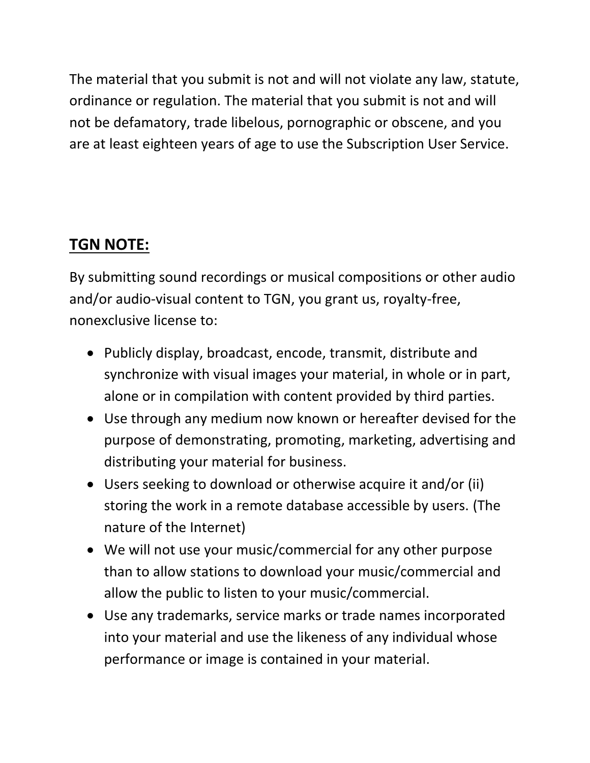The material that you submit is not and will not violate any law, statute, ordinance or regulation. The material that you submit is not and will not be defamatory, trade libelous, pornographic or obscene, and you are at least eighteen years of age to use the Subscription User Service.

## **TGN NOTE:**

By submitting sound recordings or musical compositions or other audio and/or audio-visual content to TGN, you grant us, royalty-free, nonexclusive license to:

- Publicly display, broadcast, encode, transmit, distribute and synchronize with visual images your material, in whole or in part, alone or in compilation with content provided by third parties.
- Use through any medium now known or hereafter devised for the purpose of demonstrating, promoting, marketing, advertising and distributing your material for business.
- Users seeking to download or otherwise acquire it and/or (ii) storing the work in a remote database accessible by users. (The nature of the Internet)
- We will not use your music/commercial for any other purpose than to allow stations to download your music/commercial and allow the public to listen to your music/commercial.
- Use any trademarks, service marks or trade names incorporated into your material and use the likeness of any individual whose performance or image is contained in your material.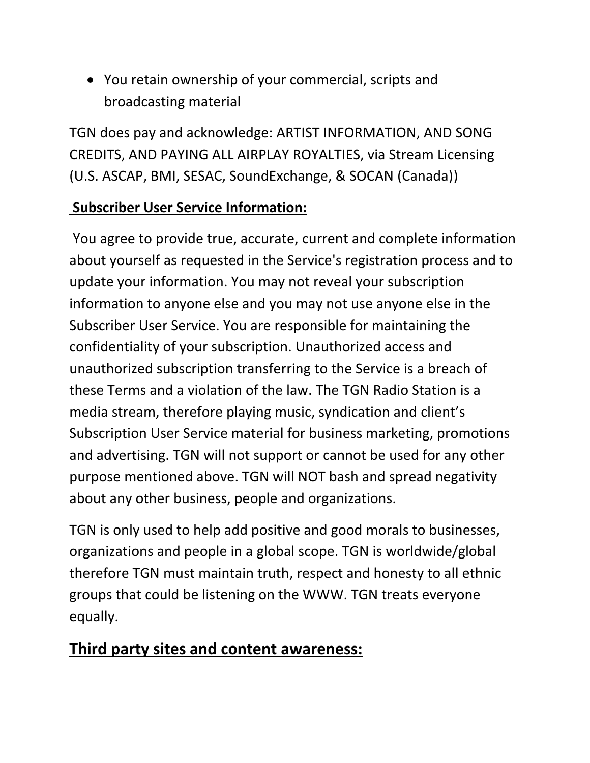You retain ownership of your commercial, scripts and broadcasting material

TGN does pay and acknowledge: ARTIST INFORMATION, AND SONG CREDITS, AND PAYING ALL AIRPLAY ROYALTIES, via Stream Licensing (U.S. ASCAP, BMI, SESAC, SoundExchange, & SOCAN (Canada))

#### **Subscriber User Service Information:**

You agree to provide true, accurate, current and complete information about yourself as requested in the Service's registration process and to update your information. You may not reveal your subscription information to anyone else and you may not use anyone else in the Subscriber User Service. You are responsible for maintaining the confidentiality of your subscription. Unauthorized access and unauthorized subscription transferring to the Service is a breach of these Terms and a violation of the law. The TGN Radio Station is a media stream, therefore playing music, syndication and client's Subscription User Service material for business marketing, promotions and advertising. TGN will not support or cannot be used for any other purpose mentioned above. TGN will NOT bash and spread negativity about any other business, people and organizations.

TGN is only used to help add positive and good morals to businesses, organizations and people in a global scope. TGN is worldwide/global therefore TGN must maintain truth, respect and honesty to all ethnic groups that could be listening on the WWW. TGN treats everyone equally.

## **Third party sites and content awareness:**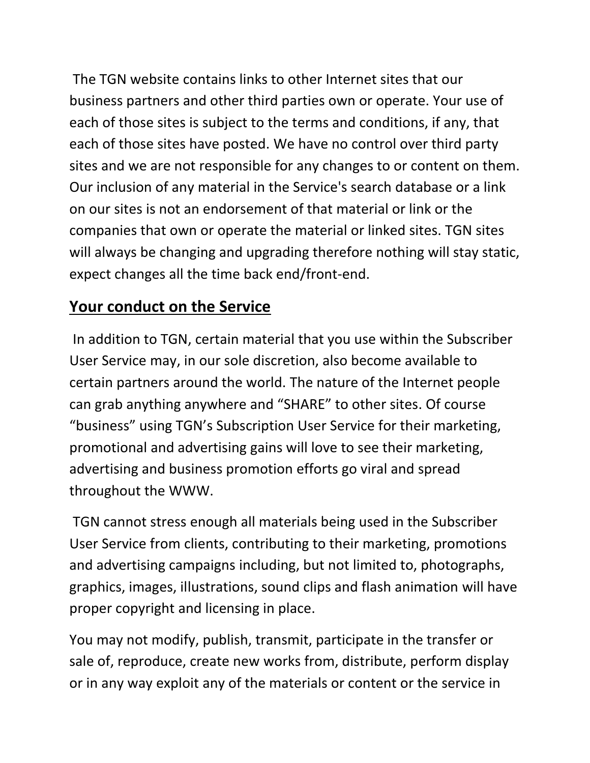The TGN website contains links to other Internet sites that our business partners and other third parties own or operate. Your use of each of those sites is subject to the terms and conditions, if any, that each of those sites have posted. We have no control over third party sites and we are not responsible for any changes to or content on them. Our inclusion of any material in the Service's search database or a link on our sites is not an endorsement of that material or link or the companies that own or operate the material or linked sites. TGN sites will always be changing and upgrading therefore nothing will stay static, expect changes all the time back end/front-end.

#### **Your conduct on the Service**

In addition to TGN, certain material that you use within the Subscriber User Service may, in our sole discretion, also become available to certain partners around the world. The nature of the Internet people can grab anything anywhere and "SHARE" to other sites. Of course "business" using TGN's Subscription User Service for their marketing, promotional and advertising gains will love to see their marketing, advertising and business promotion efforts go viral and spread throughout the WWW.

TGN cannot stress enough all materials being used in the Subscriber User Service from clients, contributing to their marketing, promotions and advertising campaigns including, but not limited to, photographs, graphics, images, illustrations, sound clips and flash animation will have proper copyright and licensing in place.

You may not modify, publish, transmit, participate in the transfer or sale of, reproduce, create new works from, distribute, perform display or in any way exploit any of the materials or content or the service in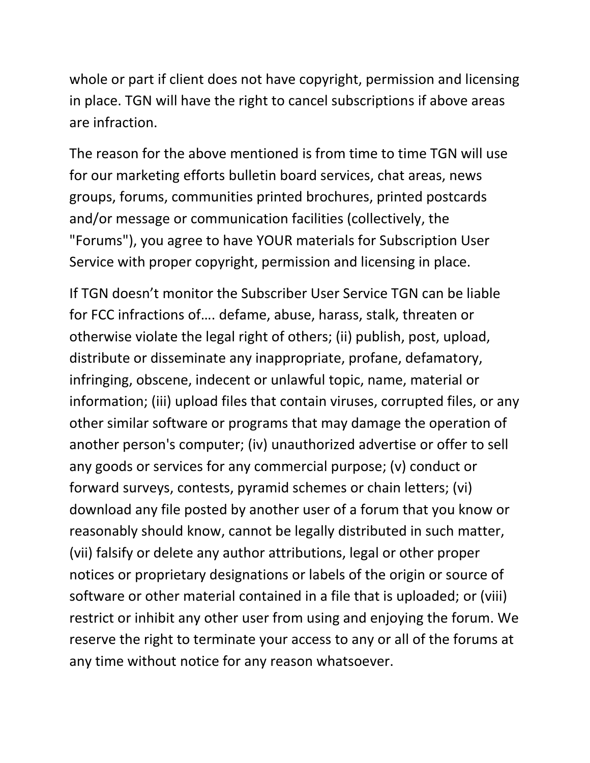whole or part if client does not have copyright, permission and licensing in place. TGN will have the right to cancel subscriptions if above areas are infraction.

The reason for the above mentioned is from time to time TGN will use for our marketing efforts bulletin board services, chat areas, news groups, forums, communities printed brochures, printed postcards and/or message or communication facilities (collectively, the "Forums"), you agree to have YOUR materials for Subscription User Service with proper copyright, permission and licensing in place.

If TGN doesn't monitor the Subscriber User Service TGN can be liable for FCC infractions of…. defame, abuse, harass, stalk, threaten or otherwise violate the legal right of others; (ii) publish, post, upload, distribute or disseminate any inappropriate, profane, defamatory, infringing, obscene, indecent or unlawful topic, name, material or information; (iii) upload files that contain viruses, corrupted files, or any other similar software or programs that may damage the operation of another person's computer; (iv) unauthorized advertise or offer to sell any goods or services for any commercial purpose; (v) conduct or forward surveys, contests, pyramid schemes or chain letters; (vi) download any file posted by another user of a forum that you know or reasonably should know, cannot be legally distributed in such matter, (vii) falsify or delete any author attributions, legal or other proper notices or proprietary designations or labels of the origin or source of software or other material contained in a file that is uploaded; or (viii) restrict or inhibit any other user from using and enjoying the forum. We reserve the right to terminate your access to any or all of the forums at any time without notice for any reason whatsoever.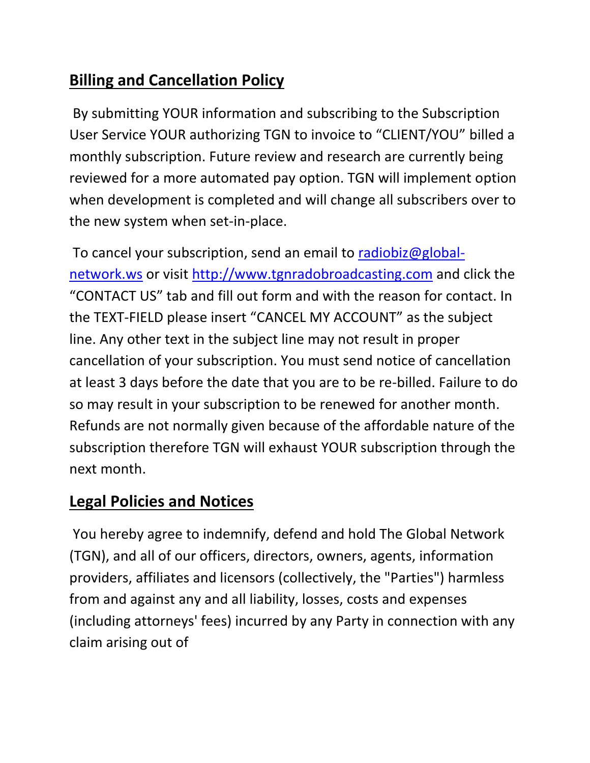## **Billing and Cancellation Policy**

By submitting YOUR information and subscribing to the Subscription User Service YOUR authorizing TGN to invoice to "CLIENT/YOU" billed a monthly subscription. Future review and research are currently being reviewed for a more automated pay option. TGN will implement option when development is completed and will change all subscribers over to the new system when set-in-place.

To cancel your subscription, send an email to [radiobiz@global](mailto:radiobiz@global-network.ws)[network.ws](mailto:radiobiz@global-network.ws) or visit [http://www.tgnradobroadcasting.com](http://www.tgnradobroadcasting.com/) and click the "CONTACT US" tab and fill out form and with the reason for contact. In the TEXT-FIELD please insert "CANCEL MY ACCOUNT" as the subject line. Any other text in the subject line may not result in proper cancellation of your subscription. You must send notice of cancellation at least 3 days before the date that you are to be re-billed. Failure to do so may result in your subscription to be renewed for another month. Refunds are not normally given because of the affordable nature of the subscription therefore TGN will exhaust YOUR subscription through the next month.

## **Legal Policies and Notices**

You hereby agree to indemnify, defend and hold The Global Network (TGN), and all of our officers, directors, owners, agents, information providers, affiliates and licensors (collectively, the "Parties") harmless from and against any and all liability, losses, costs and expenses (including attorneys' fees) incurred by any Party in connection with any claim arising out of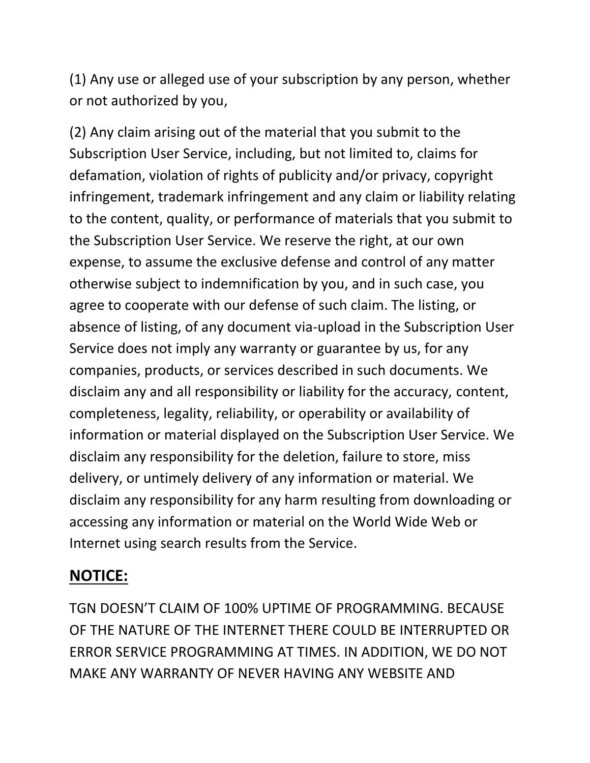(1) Any use or alleged use of your subscription by any person, whether or not authorized by you,

(2) Any claim arising out of the material that you submit to the Subscription User Service, including, but not limited to, claims for defamation, violation of rights of publicity and/or privacy, copyright infringement, trademark infringement and any claim or liability relating to the content, quality, or performance of materials that you submit to the Subscription User Service. We reserve the right, at our own expense, to assume the exclusive defense and control of any matter otherwise subject to indemnification by you, and in such case, you agree to cooperate with our defense of such claim. The listing, or absence of listing, of any document via-upload in the Subscription User Service does not imply any warranty or guarantee by us, for any companies, products, or services described in such documents. We disclaim any and all responsibility or liability for the accuracy, content, completeness, legality, reliability, or operability or availability of information or material displayed on the Subscription User Service. We disclaim any responsibility for the deletion, failure to store, miss delivery, or untimely delivery of any information or material. We disclaim any responsibility for any harm resulting from downloading or accessing any information or material on the World Wide Web or Internet using search results from the Service.

## **NOTICE:**

TGN DOESN'T CLAIM OF 100% UPTIME OF PROGRAMMING. BECAUSE OF THE NATURE OF THE INTERNET THERE COULD BE INTERRUPTED OR ERROR SERVICE PROGRAMMING AT TIMES. IN ADDITION, WE DO NOT MAKE ANY WARRANTY OF NEVER HAVING ANY WEBSITE AND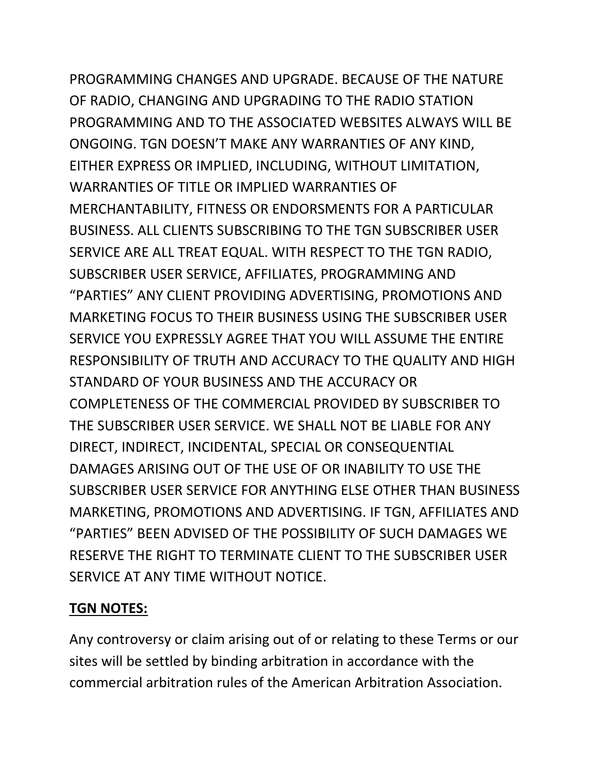PROGRAMMING CHANGES AND UPGRADE. BECAUSE OF THE NATURE OF RADIO, CHANGING AND UPGRADING TO THE RADIO STATION PROGRAMMING AND TO THE ASSOCIATED WEBSITES ALWAYS WILL BE ONGOING. TGN DOESN'T MAKE ANY WARRANTIES OF ANY KIND, EITHER EXPRESS OR IMPLIED, INCLUDING, WITHOUT LIMITATION, WARRANTIES OF TITLE OR IMPLIED WARRANTIES OF MERCHANTABILITY, FITNESS OR ENDORSMENTS FOR A PARTICULAR BUSINESS. ALL CLIENTS SUBSCRIBING TO THE TGN SUBSCRIBER USER SERVICE ARE ALL TREAT EQUAL. WITH RESPECT TO THE TGN RADIO, SUBSCRIBER USER SERVICE, AFFILIATES, PROGRAMMING AND "PARTIES" ANY CLIENT PROVIDING ADVERTISING, PROMOTIONS AND MARKETING FOCUS TO THEIR BUSINESS USING THE SUBSCRIBER USER SERVICE YOU EXPRESSLY AGREE THAT YOU WILL ASSUME THE ENTIRE RESPONSIBILITY OF TRUTH AND ACCURACY TO THE QUALITY AND HIGH STANDARD OF YOUR BUSINESS AND THE ACCURACY OR COMPLETENESS OF THE COMMERCIAL PROVIDED BY SUBSCRIBER TO THE SUBSCRIBER USER SERVICE. WE SHALL NOT BE LIABLE FOR ANY DIRECT, INDIRECT, INCIDENTAL, SPECIAL OR CONSEQUENTIAL DAMAGES ARISING OUT OF THE USE OF OR INABILITY TO USE THE SUBSCRIBER USER SERVICE FOR ANYTHING ELSE OTHER THAN BUSINESS MARKETING, PROMOTIONS AND ADVERTISING. IF TGN, AFFILIATES AND "PARTIES" BEEN ADVISED OF THE POSSIBILITY OF SUCH DAMAGES WE RESERVE THE RIGHT TO TERMINATE CLIENT TO THE SUBSCRIBER USER SERVICE AT ANY TIME WITHOUT NOTICE.

#### **TGN NOTES:**

Any controversy or claim arising out of or relating to these Terms or our sites will be settled by binding arbitration in accordance with the commercial arbitration rules of the American Arbitration Association.